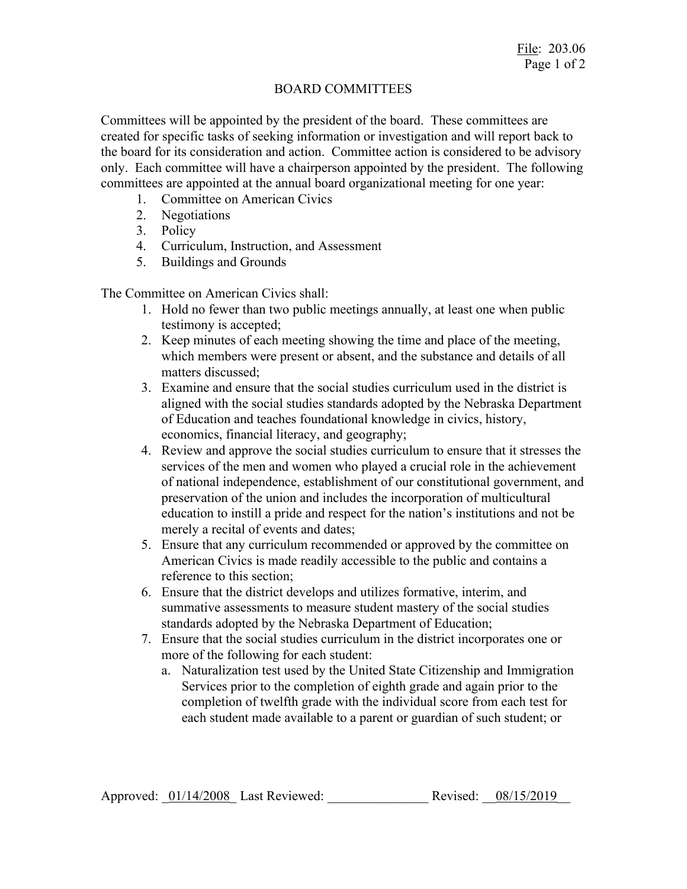## BOARD COMMITTEES

Committees will be appointed by the president of the board. These committees are created for specific tasks of seeking information or investigation and will report back to the board for its consideration and action. Committee action is considered to be advisory only. Each committee will have a chairperson appointed by the president. The following committees are appointed at the annual board organizational meeting for one year:

- 1. Committee on American Civics
- 2. Negotiations
- 3. Policy
- 4. Curriculum, Instruction, and Assessment
- 5. Buildings and Grounds

The Committee on American Civics shall:

- 1. Hold no fewer than two public meetings annually, at least one when public testimony is accepted;
- 2. Keep minutes of each meeting showing the time and place of the meeting, which members were present or absent, and the substance and details of all matters discussed;
- 3. Examine and ensure that the social studies curriculum used in the district is aligned with the social studies standards adopted by the Nebraska Department of Education and teaches foundational knowledge in civics, history, economics, financial literacy, and geography;
- 4. Review and approve the social studies curriculum to ensure that it stresses the services of the men and women who played a crucial role in the achievement of national independence, establishment of our constitutional government, and preservation of the union and includes the incorporation of multicultural education to instill a pride and respect for the nation's institutions and not be merely a recital of events and dates;
- 5. Ensure that any curriculum recommended or approved by the committee on American Civics is made readily accessible to the public and contains a reference to this section;
- 6. Ensure that the district develops and utilizes formative, interim, and summative assessments to measure student mastery of the social studies standards adopted by the Nebraska Department of Education;
- 7. Ensure that the social studies curriculum in the district incorporates one or more of the following for each student:
	- a. Naturalization test used by the United State Citizenship and Immigration Services prior to the completion of eighth grade and again prior to the completion of twelfth grade with the individual score from each test for each student made available to a parent or guardian of such student; or